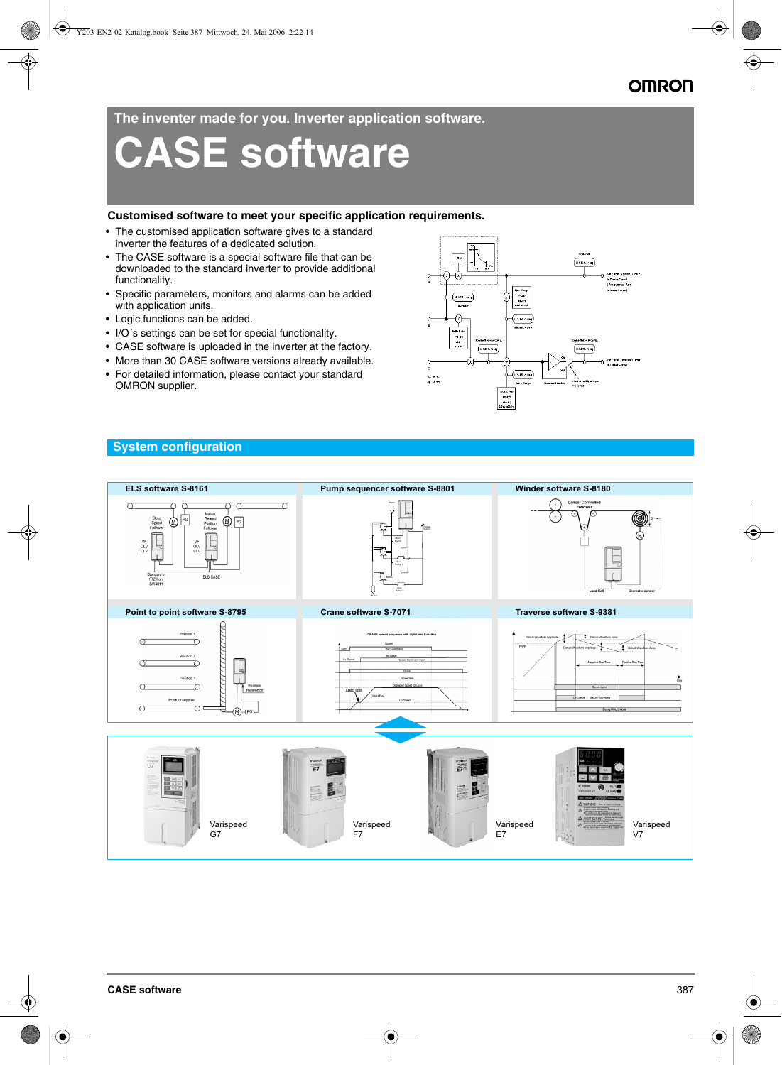**The inventer made for you. Inverter application software.**

# **CASE software**

# **Customised software to meet your specific application requirements.**

- The customised application software gives to a standard inverter the features of a dedicated solution.
- The CASE software is a special software file that can be downloaded to the standard inverter to provide additional functionality.
- Specific parameters, monitors and alarms can be added with application units.
- Logic functions can be added.
- I/O´s settings can be set for special functionality.
- CASE software is uploaded in the inverter at the factory.
- More than 30 CASE software versions already available.
- For detailed information, please contact your standard OMRON supplier.





A, B, C<br>Ng. 2.22

 $\overline{u_1u_2u_3}$ 

U1-R 72H

en Car<br>1942<br>-----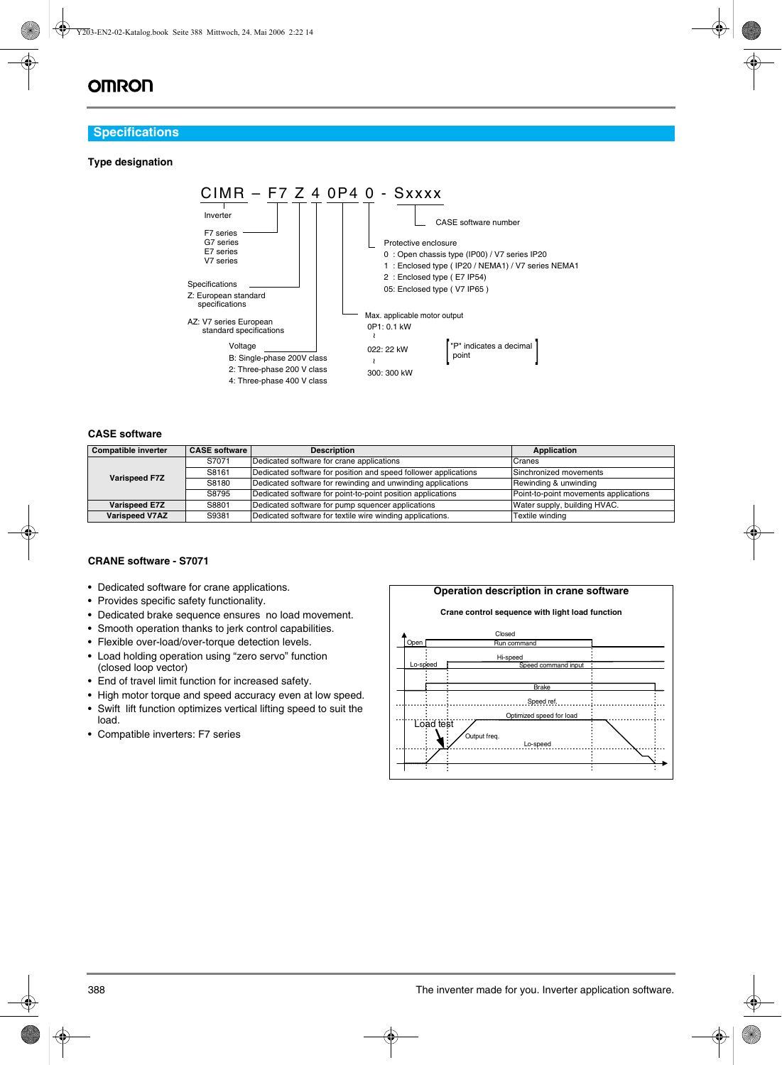# **OMRON**

# **Specifications**

# **Type designation**



# **CASE software**

| <b>Compatible inverter</b> | <b>CASE software</b> | <b>Description</b>                                              | Application                           |
|----------------------------|----------------------|-----------------------------------------------------------------|---------------------------------------|
| <b>Varispeed F7Z</b>       | S7071                | Dedicated software for crane applications                       | Cranes                                |
|                            | S8161                | Dedicated software for position and speed follower applications | Sinchronized movements                |
|                            | S8180                | Dedicated software for rewinding and unwinding applications     | Rewinding & unwinding                 |
|                            | S8795                | Dedicated software for point-to-point position applications     | Point-to-point movements applications |
| <b>Varispeed E7Z</b>       | S8801                | Dedicated software for pump squencer applications               | Water supply, building HVAC.          |
| <b>Varispeed V7AZ</b>      | S9381                | Dedicated software for textile wire winding applications.       | Textile winding                       |

# **CRANE software - S7071**

- Dedicated software for crane applications.
- Provides specific safety functionality.
- Dedicated brake sequence ensures no load movement.
- Smooth operation thanks to jerk control capabilities.
- Flexible over-load/over-torque detection levels.
- Load holding operation using "zero servo" function (closed loop vector)
- End of travel limit function for increased safety.
- High motor torque and speed accuracy even at low speed.
- Swift lift function optimizes vertical lifting speed to suit the load.
- Compatible inverters: F7 series

#### **Operation description in crane software**

#### **Crane control sequence with light load function**

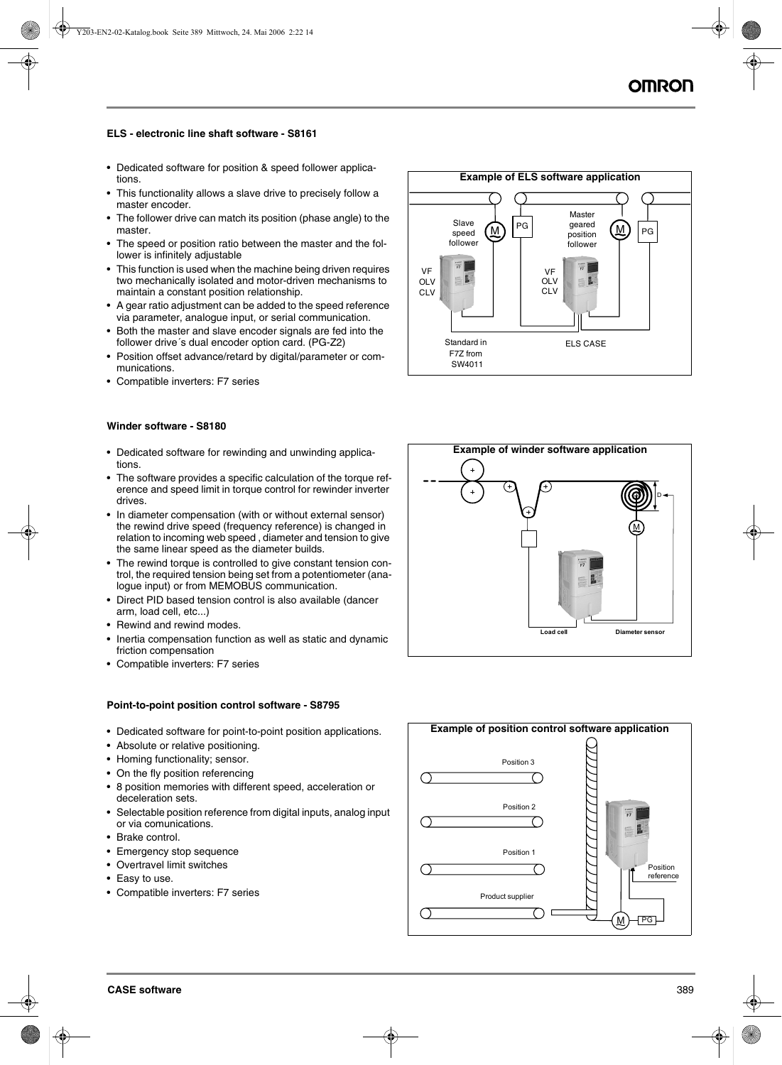## **ELS - electronic line shaft software - S8161**

- Dedicated software for position & speed follower applications.
- This functionality allows a slave drive to precisely follow a master encoder.
- The follower drive can match its position (phase angle) to the master.
- The speed or position ratio between the master and the follower is infinitely adjustable
- This function is used when the machine being driven requires two mechanically isolated and motor-driven mechanisms to maintain a constant position relationship.
- A gear ratio adjustment can be added to the speed reference via parameter, analogue input, or serial communication.
- Both the master and slave encoder signals are fed into the follower drive´s dual encoder option card. (PG-Z2)
- Position offset advance/retard by digital/parameter or communications.
- Compatible inverters: F7 series

#### **Winder software - S8180**

- Dedicated software for rewinding and unwinding applications.
- The software provides a specific calculation of the torque reference and speed limit in torque control for rewinder inverter drives.
- In diameter compensation (with or without external sensor) the rewind drive speed (frequency reference) is changed in relation to incoming web speed , diameter and tension to give the same linear speed as the diameter builds.
- The rewind torque is controlled to give constant tension control, the required tension being set from a potentiometer (analogue input) or from MEMOBUS communication.
- Direct PID based tension control is also available (dancer arm, load cell, etc...)
- Rewind and rewind modes.
- Inertia compensation function as well as static and dynamic friction compensation
- Compatible inverters: F7 series

#### **Point-to-point position control software - S8795**

- Dedicated software for point-to-point position applications.
- Absolute or relative positioning.
- Homing functionality; sensor.
- On the fly position referencing
- 8 position memories with different speed, acceleration or deceleration sets.
- Selectable position reference from digital inputs, analog input or via comunications.
- Brake control.
- Emergency stop sequence
- Overtravel limit switches
- Easy to use.
- Compatible inverters: F7 series





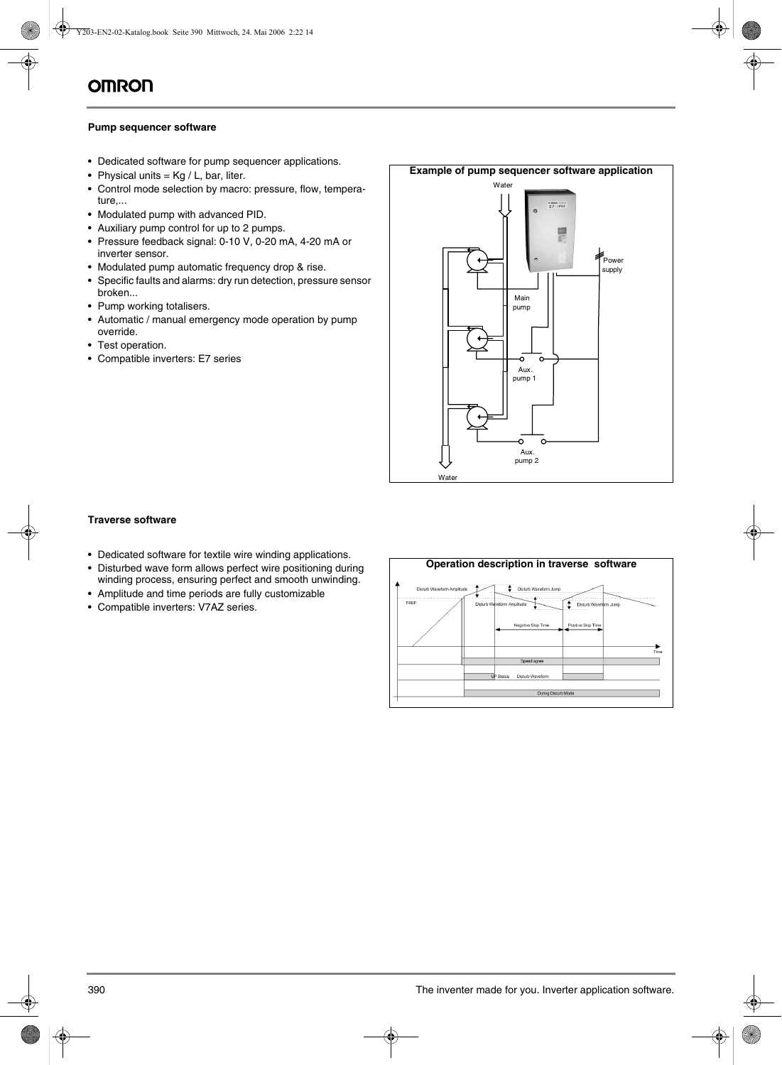# **Pump sequencer software**

- Dedicated software for pump sequencer applications.
- Physical units =  $Kg / L$ , bar, liter.
- Control mode selection by macro: pressure, flow, temperature,...
- Modulated pump with advanced PID.
- Auxiliary pump control for up to 2 pumps.
- Pressure feedback signal: 0-10 V, 0-20 mA, 4-20 mA or inverter sensor.
- Modulated pump automatic frequency drop & rise.
- Specific faults and alarms: dry run detection, pressure sensor broken...
- Pump working totalisers.
- Automatic / manual emergency mode operation by pump override.
- Test operation.
- Compatible inverters: E7 series



# **Traverse software**

- Dedicated software for textile wire winding applications.
- Disturbed wave form allows perfect wire positioning during winding process, ensuring perfect and smooth unwinding.
- Amplitude and time periods are fully customizable
- Compatible inverters: V7AZ series.